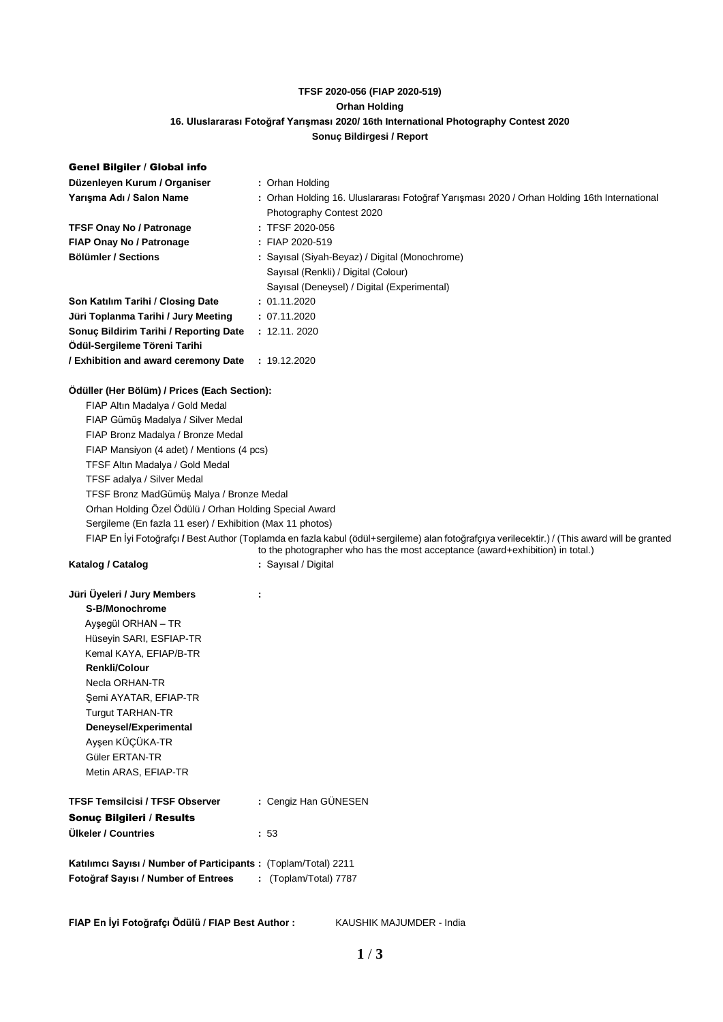# **TFSF 2020-056 (FIAP 2020-519) Orhan Holding 16. Uluslararası Fotoğraf Yarışması 2020/ 16th International Photography Contest 2020 Sonuç Bildirgesi / Report**

| Genel Bilgiler / Global info                                   |                                                                                                                                               |  |  |  |
|----------------------------------------------------------------|-----------------------------------------------------------------------------------------------------------------------------------------------|--|--|--|
| Düzenleyen Kurum / Organiser                                   | : Orhan Holding                                                                                                                               |  |  |  |
| Yarışma Adı / Salon Name                                       | : Orhan Holding 16. Uluslararası Fotoğraf Yarışması 2020 / Orhan Holding 16th International                                                   |  |  |  |
|                                                                | Photography Contest 2020                                                                                                                      |  |  |  |
| <b>TFSF Onay No / Patronage</b>                                | : TFSF 2020-056                                                                                                                               |  |  |  |
| FIAP Onay No / Patronage                                       | : FIAP 2020-519                                                                                                                               |  |  |  |
| <b>Bölümler / Sections</b>                                     | : Sayısal (Siyah-Beyaz) / Digital (Monochrome)                                                                                                |  |  |  |
|                                                                | Sayısal (Renkli) / Digital (Colour)                                                                                                           |  |  |  |
|                                                                | Sayısal (Deneysel) / Digital (Experimental)                                                                                                   |  |  |  |
| Son Katılım Tarihi / Closing Date                              | : 01.11.2020                                                                                                                                  |  |  |  |
| Jüri Toplanma Tarihi / Jury Meeting                            | : 07.11.2020                                                                                                                                  |  |  |  |
| Sonuç Bildirim Tarihi / Reporting Date                         | : 12.11.2020                                                                                                                                  |  |  |  |
| Ödül-Sergileme Töreni Tarihi                                   |                                                                                                                                               |  |  |  |
| / Exhibition and award ceremony Date                           | : 19.12.2020                                                                                                                                  |  |  |  |
| Odüller (Her Bölüm) / Prices (Each Section):                   |                                                                                                                                               |  |  |  |
| FIAP Altın Madalya / Gold Medal                                |                                                                                                                                               |  |  |  |
| FIAP Gümüş Madalya / Silver Medal                              |                                                                                                                                               |  |  |  |
| FIAP Bronz Madalya / Bronze Medal                              |                                                                                                                                               |  |  |  |
| FIAP Mansiyon (4 adet) / Mentions (4 pcs)                      |                                                                                                                                               |  |  |  |
| TFSF Altın Madalya / Gold Medal                                |                                                                                                                                               |  |  |  |
| TFSF adalya / Silver Medal                                     |                                                                                                                                               |  |  |  |
| TFSF Bronz MadGümüş Malya / Bronze Medal                       |                                                                                                                                               |  |  |  |
| Orhan Holding Özel Ödülü / Orhan Holding Special Award         |                                                                                                                                               |  |  |  |
| Sergileme (En fazla 11 eser) / Exhibition (Max 11 photos)      |                                                                                                                                               |  |  |  |
|                                                                | FIAP En İyi Fotoğrafçı / Best Author (Toplamda en fazla kabul (ödül+sergileme) alan fotoğrafçıya verilecektir.) / (This award will be granted |  |  |  |
|                                                                | to the photographer who has the most acceptance (award+exhibition) in total.)                                                                 |  |  |  |
| Katalog / Catalog                                              | : Sayısal / Digital                                                                                                                           |  |  |  |
| Jüri Üyeleri / Jury Members                                    | ÷                                                                                                                                             |  |  |  |
| S-B/Monochrome                                                 |                                                                                                                                               |  |  |  |
| Ayşegül ORHAN - TR                                             |                                                                                                                                               |  |  |  |
| Hüseyin SARI, ESFIAP-TR                                        |                                                                                                                                               |  |  |  |
| Kemal KAYA, EFIAP/B-TR                                         |                                                                                                                                               |  |  |  |
| <b>Renkli/Colour</b>                                           |                                                                                                                                               |  |  |  |
| Necla ORHAN-TR                                                 |                                                                                                                                               |  |  |  |
| Şemi AYATAR, EFIAP-TR                                          |                                                                                                                                               |  |  |  |
| <b>Turgut TARHAN-TR</b>                                        |                                                                                                                                               |  |  |  |
| Deneysel/Experimental                                          |                                                                                                                                               |  |  |  |
| Ayşen KÜÇÜKA-TR                                                |                                                                                                                                               |  |  |  |
| Güler ERTAN-TR                                                 |                                                                                                                                               |  |  |  |
| Metin ARAS, EFIAP-TR                                           |                                                                                                                                               |  |  |  |
| <b>TFSF Temsilcisi / TFSF Observer</b>                         | : Cengiz Han GÜNESEN                                                                                                                          |  |  |  |
| Sonuç Bilgileri / Results                                      |                                                                                                                                               |  |  |  |
| Ülkeler / Countries                                            | : 53                                                                                                                                          |  |  |  |
| Katılımcı Sayısı / Number of Participants: (Toplam/Total) 2211 |                                                                                                                                               |  |  |  |
| Fotoğraf Sayısı / Number of Entrees                            | : (Toplam/Total) 7787                                                                                                                         |  |  |  |
|                                                                |                                                                                                                                               |  |  |  |

**FIAP En İyi Fotoğrafçı Ödülü / FIAP Best Author :** KAUSHIK MAJUMDER - India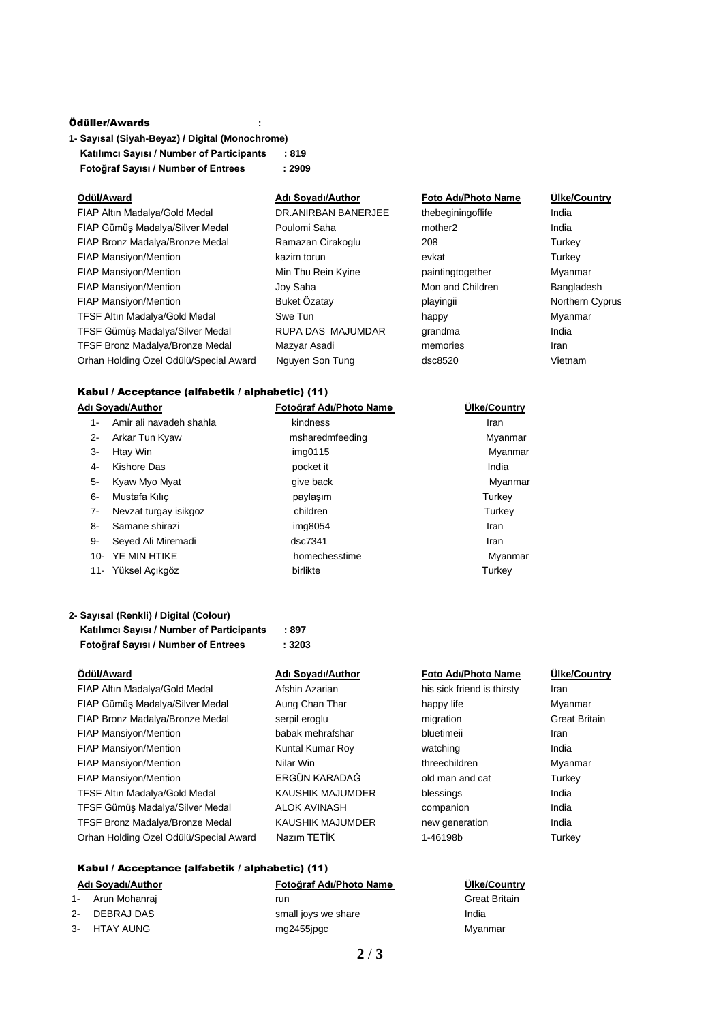### Ödüller/Awards **:**

| 1- Sayısal (Siyah-Beyaz) / Digital (Monochrome) |        |  |
|-------------------------------------------------|--------|--|
| Katılımcı Sayısı / Number of Participants       | :819   |  |
| Fotoğraf Sayısı / Number of Entrees             | : 2909 |  |

| Ödül/Award                             | Adı Soyadı/Author   | <b>Foto Adı/Photo Name</b> | Ülke/Cou |
|----------------------------------------|---------------------|----------------------------|----------|
| FIAP Altın Madalya/Gold Medal          | DR.ANIRBAN BANERJEE | thebegining of life        | India    |
| FIAP Gümüş Madalya/Silver Medal        | Poulomi Saha        | mother <sub>2</sub>        | India    |
| FIAP Bronz Madalya/Bronze Medal        | Ramazan Cirakoglu   | 208                        | Turkey   |
| FIAP Mansiyon/Mention                  | kazim torun         | evkat                      | Turkey   |
| <b>FIAP Mansiyon/Mention</b>           | Min Thu Rein Kyine  | paintingtogether           | Myanmar  |
| <b>FIAP Mansiyon/Mention</b>           | Joy Saha            | Mon and Children           | Banglade |
| <b>FIAP Mansiyon/Mention</b>           | Buket Özatay        | playingii                  | Northern |
| <b>TFSF Altin Madalya/Gold Medal</b>   | Swe Tun             | happy                      | Myanmar  |
| TFSF Gümüş Madalya/Silver Medal        | RUPA DAS MAJUMDAR   | grandma                    | India    |
| TFSF Bronz Madalya/Bronze Medal        | Mazyar Asadi        | memories                   | Iran     |
| Orhan Holding Özel Ödülü/Special Award | Nguyen Son Tung     | dsc8520                    | Vietnam  |

### **Ödül/Award Adı Soyadı/Author Foto Adı/Photo Name Ülke/Country**

thebeginingoflife India paintingtogether Myanmar Mon and Children Bangladesh playingii **Manufion Buket Mention Buket Cyprus Northern Cyprus** 

### Kabul / Acceptance (alfabetik / alphabetic) (11)

| Adı Soyadı/Author |                         | Fotoğraf Adı/Photo Name | Ülke/Country |
|-------------------|-------------------------|-------------------------|--------------|
| 1-                | Amir ali navadeh shahla | kindness                | Iran         |
| 2-                | Arkar Tun Kyaw          | msharedmfeeding         | Myanmar      |
| 3-                | Htay Win                | img0115                 | Myanmar      |
| 4-                | Kishore Das             | pocket it               | India        |
| 5-                | Kyaw Myo Myat           | give back               | Myanmar      |
| 6-                | Mustafa Kılıç           | paylaşım                | Turkey       |
| $7-$              | Nevzat turgay isikgoz   | children                | Turkey       |
| 8-                | Samane shirazi          | img8054                 | Iran         |
| 9-                | Seyed Ali Miremadi      | dsc7341                 | Iran         |
| $10-$             | YE MIN HTIKE            | homechesstime           | Myanmar      |
|                   | 11- Yüksel Açıkgöz      | birlikte                | Turkey       |

## **2- Sayısal (Renkli) / Digital (Colour) Katılımcı Sayısı / Number of Participants : 897 Fotoğraf Sayısı / Number of Entrees : 3203**

| Ödül/Award                             | Adı Soyadı/Author       | Foto Adı/Photo Name        | Ülke/Cou          |
|----------------------------------------|-------------------------|----------------------------|-------------------|
| FIAP Altın Madalya/Gold Medal          | Afshin Azarian          | his sick friend is thirsty | <b>Iran</b>       |
| FIAP Gümüş Madalya/Silver Medal        | Aung Chan Thar          | happy life                 | Myanmar           |
| FIAP Bronz Madalya/Bronze Medal        | serpil eroglu           | migration                  | <b>Great Brit</b> |
| <b>FIAP Mansiyon/Mention</b>           | babak mehrafshar        | bluetimeii                 | Iran              |
| FIAP Mansiyon/Mention                  | Kuntal Kumar Roy        | watching                   | India             |
| <b>FIAP Mansiyon/Mention</b>           | Nilar Win               | threechildren              | Myanmar           |
| <b>FIAP Mansiyon/Mention</b>           | ERGÜN KARADAĞ           | old man and cat            | Turkey            |
| <b>TFSF Altin Madalya/Gold Medal</b>   | <b>KAUSHIK MAJUMDER</b> | blessings                  | India             |
| TFSF Gümüş Madalya/Silver Medal        | <b>ALOK AVINASH</b>     | companion                  | India             |
| TFSF Bronz Madalya/Bronze Medal        | <b>KAUSHIK MAJUMDER</b> | new generation             | India             |
| Orhan Holding Özel Ödülü/Special Award | Nazım TETİK             | 1-46198b                   | Turkey            |

# Kabul / Acceptance (alfabetik / alphabetic) (11)

| Adı Soyadı/Author |                  | Fotoğraf Adı/Photo Name | <b>Ulke/Country</b>  |  |
|-------------------|------------------|-------------------------|----------------------|--|
|                   | 1- Arun Mohanraj | run                     | <b>Great Britain</b> |  |
|                   | 2- DEBRAJ DAS    | small joys we share     | India                |  |
|                   | 3- HTAY AUNG     | mg2455ipgc              | Myanmar              |  |
|                   |                  |                         |                      |  |

## **Ödül/Award Adı Soyadı/Author Foto Adı/Photo Name Ülke/Country**

his sick friend is thirsty Iran FIAP Bronz Madales Medal series Medal series Medal series Medal Series Medal Series Medal Serpins Medal Serpi threechildren Myanmar AĞ old man and cat Turkey IMDER new generation India